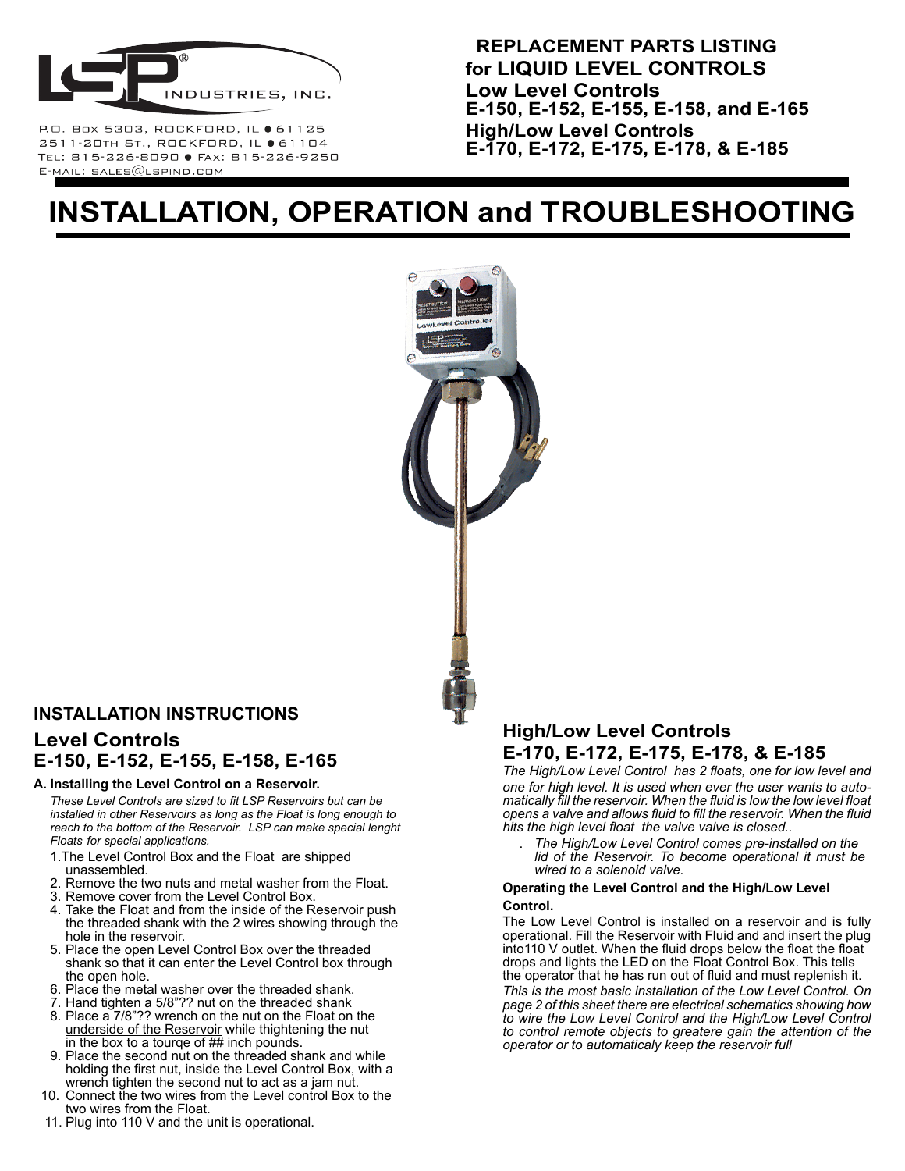

P.O. Box 5303, ROCKFORD, IL ● 61125 2511-20TH ST., ROCKFORD, IL ● 61104 TEL: 815-226-8090 · FAX: 815-226-9250  $E$ -MAIL: SALES $@$ LSPIND.COM

 **REPLACEMENT PARTS LISTING for LIQUID LEVEL CONTROLS Low Level Controls E-150, E-152, E-155, E-158, and E-165 High/Low Level Controls E-170, E-172, E-175, E-178, & E-185**

# **INSTALLATION, OPERATION and TROUBLESHOOTING**



### **INSTALLATION INSTRUCTIONS Level Controls E-150, E-152, E-155, E-158, E-165**

#### **A. Installing the Level Control on a Reservoir.**

*These Level Controls are sized to fit LSP Reservoirs but can be installed in other Reservoirs as long as the Float is long enough to reach to the bottom of the Reservoir. LSP can make special lenght Floats for special applications.*

- 1.The Level Control Box and the Float are shipped unassembled.
- 2. Remove the two nuts and metal washer from the Float.
- 3. Remove cover from the Level Control Box.
- 4. Take the Float and from the inside of the Reservoir push the threaded shank with the 2 wires showing through the hole in the reservoir.
- 5. Place the open Level Control Box over the threaded shank so that it can enter the Level Control box through the open hole.
- 6. Place the metal washer over the threaded shank.
- 7. Hand tighten a 5/8"?? nut on the threaded shank
- 8. Place a 7/8"?? wrench on the nut on the Float on the underside of the Reservoir while thightening the nut in the box to a tourqe of ## inch pounds.
- 9. Place the second nut on the threaded shank and while holding the first nut, inside the Level Control Box, with a wrench tighten the second nut to act as a jam nut.
- 10. Connect the two wires from the Level control Box to the two wires from the Float.
- 11. Plug into 110 V and the unit is operational.

### **High/Low Level Controls E-170, E-172, E-175, E-178, & E-185**

*The High/Low Level Control has 2 floats, one for low level and one for high level. It is used when ever the user wants to auto- matically fill the reservoir. When the fluid is low the low level float opens a valve and allows fluid to fill the reservoir. When the fluid hits the high level float the valve valve is closed..*

. *The High/Low Level Control comes pre-installed on the lid of the Reservoir. To become operational it must be wired to a solenoid valve.* 

#### **Operating the Level Control and the High/Low Level Control.**

The Low Level Control is installed on a reservoir and is fully operational. Fill the Reservoir with Fluid and and insert the plug into110 V outlet. When the fluid drops below the float the float drops and lights the LED on the Float Control Box. This tells the operator that he has run out of fluid and must replenish it. *This is the most basic installation of the Low Level Control. On page 2 of this sheet there are electrical schematics showing how to wire the Low Level Control and the High/Low Level Control to control remote objects to greatere gain the attention of the operator or to automaticaly keep the reservoir full*